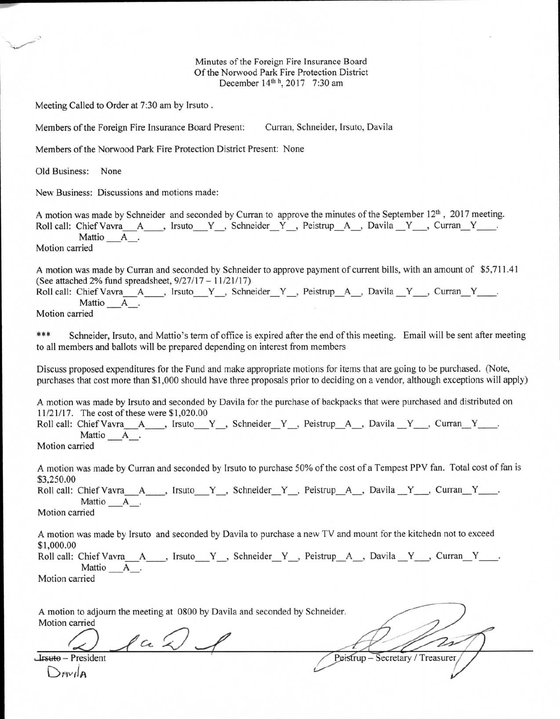Minutes of the Foreign Fire Insurance Board Of the Norwood Park Fire Protection District December 14<sup>th h</sup>, 2017 7:30 am

Meeting Called to Order at 7:30 am by Irsuto .

Members of the Foreign Fire Insurance Board Present: Curran, Schneider, Irsuto, Davila

Members of the Norwood Park Fire Protection District Present: None

Old Business: None

New Business: Discussions and motions made:

A motion was made by Schneider and seconded by Curran to approve the minutes of the September  $12<sup>th</sup>$ , 2017 meeting. Roll call: Chief Vavra A , Irsuto Y , Schneider Y , Peistrup A , Davila Y , Curran Y ... Mattio A Motion carried

A motion was made by Curran and seconded by Schneider to approve payment of current bills, with an amount of \$5,711.41 (See attached 2% fund spreadsheet, 9/27/17 — 11/21/17)

Roll call: Chief Vavra A , Irsuto Y , Schneider Y , Peistrup A , Davila Y , Curran Y . Mattio A

Motion carried

\*\*\* Schneider, Irsuto, and Mattio's term of office is expired after the end of this meeting. Email will be sent after meeting to all members and ballots will be prepared depending on interest from members

Discuss proposed expenditures for the Fund and make appropriate motions for items that are going to be purchased. (Note, purchases that cost more than \$1,000 should have three proposals prior to deciding on a vendor, although exceptions will apply)

A motion was made by Irsuto and seconded by Davila for the purchase of backpacks that were purchased and distributed on 11/21/17. The cost of these were \$1,020.00

Roll call: Chief Vavra A , Irsuto Y , Schneider Y , Peistrup A , Davila Y , Curran Y ... Mattio A. Motion carried

A motion was made by Curran and seconded by Irsuto to purchase 50% of the cost of a Tempest PPV fan. Total cost of fan is \$3,250.00

Roll call: Chief Vavra A, J. Irsuto Y, Schneider Y, Peistrup A, Davila Y, Curran Y, Mattio A.

Motion carried

Davila

A motion was made by Irsuto and seconded by Davila to purchase a new TV and mount for the kitchedn not to exceed \$1,000.00

|                | Roll call: Chief Vavra A, Irsuto Y, Schneider Y, Peistrup A, Davila Y, Curran Y, |  |  |  |  |  |  |
|----------------|----------------------------------------------------------------------------------|--|--|--|--|--|--|
|                | Mattio A.                                                                        |  |  |  |  |  |  |
| Motion carried |                                                                                  |  |  |  |  |  |  |

| A motion to adjourn the meeting at 0800 by Davila and seconded by Schneider. |                                  |
|------------------------------------------------------------------------------|----------------------------------|
| Motion carried                                                               |                                  |
| <b>Lisuto</b> – President                                                    | Peistrup – Secretary / Treasurer |